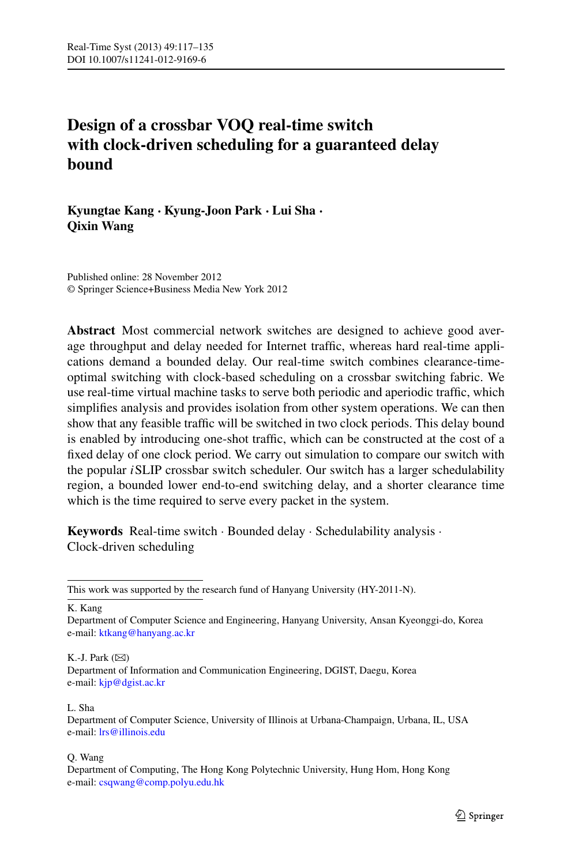# **Design of a crossbar VOQ real-time switch with clock-driven scheduling for a guaranteed delay bound**

**Kyungtae Kang · Kyung-Joon Park · Lui Sha · Qixin Wang**

Published online: 28 November 2012 © Springer Science+Business Media New York 2012

**Abstract** Most commercial network switches are designed to achieve good average throughput and delay needed for Internet traffic, whereas hard real-time applications demand a bounded delay. Our real-time switch combines clearance-timeoptimal switching with clock-based scheduling on a crossbar switching fabric. We use real-time virtual machine tasks to serve both periodic and aperiodic traffic, which simplifies analysis and provides isolation from other system operations. We can then show that any feasible traffic will be switched in two clock periods. This delay bound is enabled by introducing one-shot traffic, which can be constructed at the cost of a fixed delay of one clock period. We carry out simulation to compare our switch with the popular *i*SLIP crossbar switch scheduler. Our switch has a larger schedulability region, a bounded lower end-to-end switching delay, and a shorter clearance time which is the time required to serve every packet in the system.

**Keywords** Real-time switch · Bounded delay · Schedulability analysis · Clock-driven scheduling

K. Kang

K.-J. Park  $(\boxtimes)$ Department of Information and Communication Engineering, DGIST, Daegu, Korea e-mail: [kjp@dgist.ac.kr](mailto:kjp@dgist.ac.kr)

#### L. Sha

Department of Computer Science, University of Illinois at Urbana-Champaign, Urbana, IL, USA e-mail: [lrs@illinois.edu](mailto:lrs@illinois.edu)

#### Q. Wang

Department of Computing, The Hong Kong Polytechnic University, Hung Hom, Hong Kong e-mail: [csqwang@comp.polyu.edu.hk](mailto:csqwang@comp.polyu.edu.hk)

This work was supported by the research fund of Hanyang University (HY-2011-N).

Department of Computer Science and Engineering, Hanyang University, Ansan Kyeonggi-do, Korea e-mail: [ktkang@hanyang.ac.kr](mailto:ktkang@hanyang.ac.kr)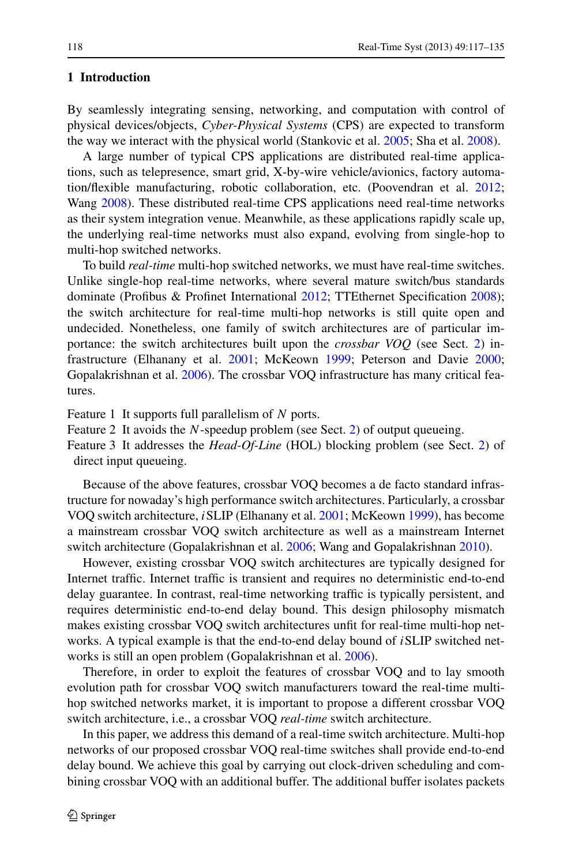## <span id="page-1-0"></span>**1 Introduction**

By seamlessly integrating sensing, networking, and computation with control of physical devices/objects, *Cyber-Physical Systems* (CPS) are expected to transform the way we interact with the physical world (Stankovic et al. [2005](#page-17-0); Sha et al. [2008\)](#page-17-1).

A large number of typical CPS applications are distributed real-time applications, such as telepresence, smart grid, X-by-wire vehicle/avionics, factory automation/flexible manufacturing, robotic collaboration, etc. (Poovendran et al. [2012;](#page-16-0) Wang [2008\)](#page-17-2). These distributed real-time CPS applications need real-time networks as their system integration venue. Meanwhile, as these applications rapidly scale up, the underlying real-time networks must also expand, evolving from single-hop to multi-hop switched networks.

To build *real-time* multi-hop switched networks, we must have real-time switches. Unlike single-hop real-time networks, where several mature switch/bus standards dominate (Profibus & Profinet International [2012;](#page-16-1) TTEthernet Specification [2008](#page-17-3)); the switch architecture for real-time multi-hop networks is still quite open and undecided. Nonetheless, one family of switch architectures are of particular importance: the switch architectures built upon the *crossbar VOQ* (see Sect. [2\)](#page-2-0) infrastructure (Elhanany et al. [2001;](#page-16-2) McKeown [1999](#page-16-3); Peterson and Davie [2000;](#page-16-4) Gopalakrishnan et al. [2006\)](#page-16-5). The crossbar VOQ infrastructure has many critical features.

Feature 1 It supports full parallelism of *N* ports.

Feature 2 It avoids the *N*-speedup problem (see Sect. [2\)](#page-2-0) of output queueing.

Feature 3 It addresses the *Head-Of-Line* (HOL) blocking problem (see Sect. [2](#page-2-0)) of direct input queueing.

Because of the above features, crossbar VOQ becomes a de facto standard infrastructure for nowaday's high performance switch architectures. Particularly, a crossbar VOQ switch architecture, *i*SLIP (Elhanany et al. [2001;](#page-16-2) McKeown [1999](#page-16-3)), has become a mainstream crossbar VOQ switch architecture as well as a mainstream Internet switch architecture (Gopalakrishnan et al. [2006;](#page-16-5) Wang and Gopalakrishnan [2010\)](#page-17-4).

However, existing crossbar VOQ switch architectures are typically designed for Internet traffic. Internet traffic is transient and requires no deterministic end-to-end delay guarantee. In contrast, real-time networking traffic is typically persistent, and requires deterministic end-to-end delay bound. This design philosophy mismatch makes existing crossbar VOQ switch architectures unfit for real-time multi-hop networks. A typical example is that the end-to-end delay bound of *i*SLIP switched networks is still an open problem (Gopalakrishnan et al. [2006](#page-16-5)).

Therefore, in order to exploit the features of crossbar VOQ and to lay smooth evolution path for crossbar VOQ switch manufacturers toward the real-time multihop switched networks market, it is important to propose a different crossbar VOQ switch architecture, i.e., a crossbar VOQ *real-time* switch architecture.

In this paper, we address this demand of a real-time switch architecture. Multi-hop networks of our proposed crossbar VOQ real-time switches shall provide end-to-end delay bound. We achieve this goal by carrying out clock-driven scheduling and combining crossbar VOQ with an additional buffer. The additional buffer isolates packets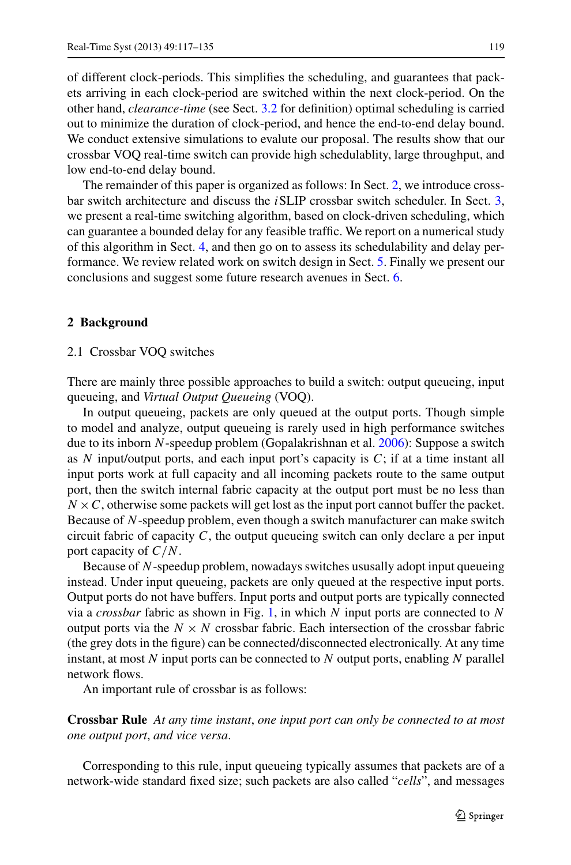of different clock-periods. This simplifies the scheduling, and guarantees that packets arriving in each clock-period are switched within the next clock-period. On the other hand, *clearance-time* (see Sect. [3.2](#page-7-0) for definition) optimal scheduling is carried out to minimize the duration of clock-period, and hence the end-to-end delay bound. We conduct extensive simulations to evalute our proposal. The results show that our crossbar VOQ real-time switch can provide high schedulablity, large throughput, and low end-to-end delay bound.

<span id="page-2-0"></span>The remainder of this paper is organized as follows: In Sect. [2,](#page-2-0) we introduce crossbar switch architecture and discuss the *i*SLIP crossbar switch scheduler. In Sect. [3](#page-5-0), we present a real-time switching algorithm, based on clock-driven scheduling, which can guarantee a bounded delay for any feasible traffic. We report on a numerical study of this algorithm in Sect. [4](#page-10-0), and then go on to assess its schedulability and delay performance. We review related work on switch design in Sect. [5](#page-13-0). Finally we present our conclusions and suggest some future research avenues in Sect. [6.](#page-15-0)

#### **2 Background**

#### 2.1 Crossbar VOQ switches

There are mainly three possible approaches to build a switch: output queueing, input queueing, and *Virtual Output Queueing* (VOQ).

In output queueing, packets are only queued at the output ports. Though simple to model and analyze, output queueing is rarely used in high performance switches due to its inborn *N*-speedup problem (Gopalakrishnan et al. [2006](#page-16-5)): Suppose a switch as *N* input/output ports, and each input port's capacity is *C*; if at a time instant all input ports work at full capacity and all incoming packets route to the same output port, then the switch internal fabric capacity at the output port must be no less than  $N \times C$ , otherwise some packets will get lost as the input port cannot buffer the packet. Because of *N*-speedup problem, even though a switch manufacturer can make switch circuit fabric of capacity *C*, the output queueing switch can only declare a per input port capacity of *C/N*.

Because of *N*-speedup problem, nowadays switches ususally adopt input queueing instead. Under input queueing, packets are only queued at the respective input ports. Output ports do not have buffers. Input ports and output ports are typically connected via a *crossbar* fabric as shown in Fig. [1,](#page-3-0) in which *N* input ports are connected to *N* output ports via the  $N \times N$  crossbar fabric. Each intersection of the crossbar fabric (the grey dots in the figure) can be connected/disconnected electronically. At any time instant, at most *N* input ports can be connected to *N* output ports, enabling *N* parallel network flows.

An important rule of crossbar is as follows:

**Crossbar Rule** *At any time instant*, *one input port can only be connected to at most one output port*, *and vice versa*.

Corresponding to this rule, input queueing typically assumes that packets are of a network-wide standard fixed size; such packets are also called "*cells*", and messages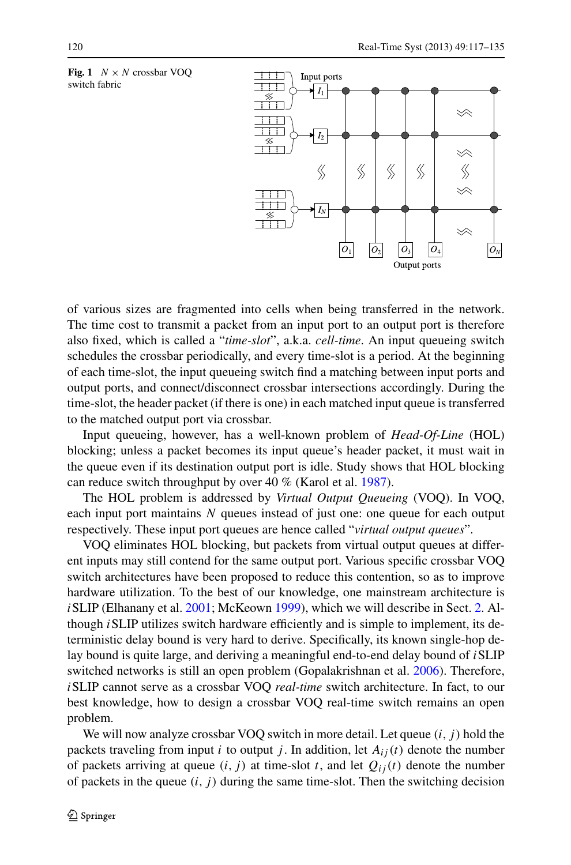<span id="page-3-0"></span>



of various sizes are fragmented into cells when being transferred in the network. The time cost to transmit a packet from an input port to an output port is therefore also fixed, which is called a "*time-slot*", a.k.a. *cell-time*. An input queueing switch schedules the crossbar periodically, and every time-slot is a period. At the beginning of each time-slot, the input queueing switch find a matching between input ports and output ports, and connect/disconnect crossbar intersections accordingly. During the time-slot, the header packet (if there is one) in each matched input queue is transferred to the matched output port via crossbar.

Input queueing, however, has a well-known problem of *Head-Of-Line* (HOL) blocking; unless a packet becomes its input queue's header packet, it must wait in the queue even if its destination output port is idle. Study shows that HOL blocking can reduce switch throughput by over 40 % (Karol et al. [1987\)](#page-16-6).

The HOL problem is addressed by *Virtual Output Queueing* (VOQ). In VOQ, each input port maintains *N* queues instead of just one: one queue for each output respectively. These input port queues are hence called "*virtual output queues*".

VOQ eliminates HOL blocking, but packets from virtual output queues at different inputs may still contend for the same output port. Various specific crossbar VOQ switch architectures have been proposed to reduce this contention, so as to improve hardware utilization. To the best of our knowledge, one mainstream architecture is *i*SLIP (Elhanany et al. [2001;](#page-16-2) McKeown [1999\)](#page-16-3), which we will describe in Sect. [2](#page-2-0). Although *i*SLIP utilizes switch hardware efficiently and is simple to implement, its deterministic delay bound is very hard to derive. Specifically, its known single-hop delay bound is quite large, and deriving a meaningful end-to-end delay bound of *i*SLIP switched networks is still an open problem (Gopalakrishnan et al. [2006](#page-16-5)). Therefore, *i*SLIP cannot serve as a crossbar VOQ *real-time* switch architecture. In fact, to our best knowledge, how to design a crossbar VOQ real-time switch remains an open problem.

We will now analyze crossbar VOQ switch in more detail. Let queue  $(i, j)$  hold the packets traveling from input *i* to output *j*. In addition, let  $A_{ij}(t)$  denote the number of packets arriving at queue  $(i, j)$  at time-slot *t*, and let  $Q_{ij}(t)$  denote the number of packets in the queue  $(i, j)$  during the same time-slot. Then the switching decision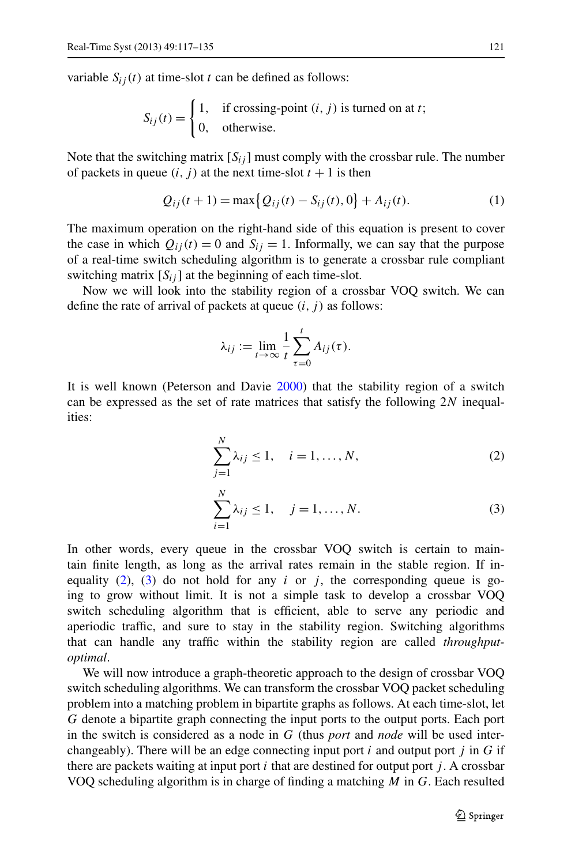variable  $S_{ij}(t)$  at time-slot *t* can be defined as follows:

<span id="page-4-2"></span>
$$
S_{ij}(t) = \begin{cases} 1, & \text{if crossing-point } (i, j) \text{ is turned on at } t; \\ 0, & \text{otherwise.} \end{cases}
$$

Note that the switching matrix  $[S_i]$  must comply with the crossbar rule. The number of packets in queue  $(i, j)$  at the next time-slot  $t + 1$  is then

$$
Q_{ij}(t+1) = \max\{Q_{ij}(t) - S_{ij}(t), 0\} + A_{ij}(t).
$$
 (1)

The maximum operation on the right-hand side of this equation is present to cover the case in which  $Q_{ij}(t) = 0$  and  $S_{ij} = 1$ . Informally, we can say that the purpose of a real-time switch scheduling algorithm is to generate a crossbar rule compliant switching matrix  $[S_{ij}]$  at the beginning of each time-slot.

Now we will look into the stability region of a crossbar VOQ switch. We can define the rate of arrival of packets at queue  $(i, j)$  as follows:

<span id="page-4-1"></span><span id="page-4-0"></span>
$$
\lambda_{ij} := \lim_{t \to \infty} \frac{1}{t} \sum_{\tau=0}^t A_{ij}(\tau).
$$

It is well known (Peterson and Davie [2000](#page-16-4)) that the stability region of a switch can be expressed as the set of rate matrices that satisfy the following 2*N* inequalities:

$$
\sum_{j=1}^{N} \lambda_{ij} \le 1, \quad i = 1, ..., N,
$$
 (2)

$$
\sum_{i=1}^{N} \lambda_{ij} \le 1, \quad j = 1, ..., N.
$$
 (3)

In other words, every queue in the crossbar VOQ switch is certain to maintain finite length, as long as the arrival rates remain in the stable region. If inequality  $(2)$  $(2)$ ,  $(3)$  $(3)$  do not hold for any *i* or *j*, the corresponding queue is going to grow without limit. It is not a simple task to develop a crossbar VOQ switch scheduling algorithm that is efficient, able to serve any periodic and aperiodic traffic, and sure to stay in the stability region. Switching algorithms that can handle any traffic within the stability region are called *throughputoptimal*.

We will now introduce a graph-theoretic approach to the design of crossbar VOQ switch scheduling algorithms. We can transform the crossbar VOQ packet scheduling problem into a matching problem in bipartite graphs as follows. At each time-slot, let *G* denote a bipartite graph connecting the input ports to the output ports. Each port in the switch is considered as a node in *G* (thus *port* and *node* will be used interchangeably). There will be an edge connecting input port *i* and output port *j* in *G* if there are packets waiting at input port *i* that are destined for output port *j* . A crossbar VOQ scheduling algorithm is in charge of finding a matching *M* in *G*. Each resulted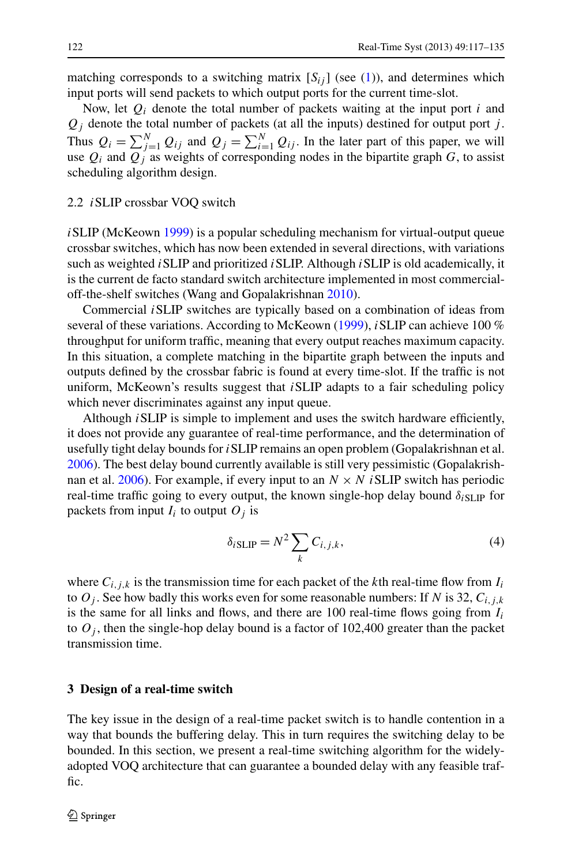matching corresponds to a switching matrix  $[S_{ij}]$  (see [\(1](#page-4-2))), and determines which input ports will send packets to which output ports for the current time-slot.

Now, let *Qi* denote the total number of packets waiting at the input port *i* and  $Q_i$  denote the total number of packets (at all the inputs) destined for output port *j*. Thus  $Q_i = \sum_{j=1}^{N} Q_{ij}$  and  $Q_j = \sum_{i=1}^{N} Q_{ij}$ . In the later part of this paper, we will use  $Q_i$  and  $\overline{Q}_i$  as weights of corresponding nodes in the bipartite graph *G*, to assist scheduling algorithm design.

## 2.2 *i*SLIP crossbar VOQ switch

*i*SLIP (McKeown [1999\)](#page-16-3) is a popular scheduling mechanism for virtual-output queue crossbar switches, which has now been extended in several directions, with variations such as weighted *i*SLIP and prioritized *i*SLIP. Although *i*SLIP is old academically, it is the current de facto standard switch architecture implemented in most commercialoff-the-shelf switches (Wang and Gopalakrishnan [2010\)](#page-17-4).

Commercial *i*SLIP switches are typically based on a combination of ideas from several of these variations. According to McKeown [\(1999](#page-16-3)), *i*SLIP can achieve 100 % throughput for uniform traffic, meaning that every output reaches maximum capacity. In this situation, a complete matching in the bipartite graph between the inputs and outputs defined by the crossbar fabric is found at every time-slot. If the traffic is not uniform, McKeown's results suggest that *i*SLIP adapts to a fair scheduling policy which never discriminates against any input queue.

Although *i*SLIP is simple to implement and uses the switch hardware efficiently, it does not provide any guarantee of real-time performance, and the determination of usefully tight delay bounds for *i*SLIP remains an open problem (Gopalakrishnan et al. [2006\)](#page-16-5). The best delay bound currently available is still very pessimistic (Gopalakrish-nan et al. [2006\)](#page-16-5). For example, if every input to an  $N \times N$  *i*SLIP switch has periodic real-time traffic going to every output, the known single-hop delay bound  $\delta_{iSLP}$  for packets from input  $I_i$  to output  $O_i$  is

<span id="page-5-1"></span>
$$
\delta_{i\text{SLIP}} = N^2 \sum_{k} C_{i,j,k},\tag{4}
$$

<span id="page-5-0"></span>where  $C_{i,j,k}$  is the transmission time for each packet of the *k*th real-time flow from  $I_i$ to  $O_i$ . See how badly this works even for some reasonable numbers: If *N* is 32,  $C_{i,j,k}$ is the same for all links and flows, and there are  $100$  real-time flows going from  $I_i$ to  $O_i$ , then the single-hop delay bound is a factor of 102,400 greater than the packet transmission time.

## **3 Design of a real-time switch**

The key issue in the design of a real-time packet switch is to handle contention in a way that bounds the buffering delay. This in turn requires the switching delay to be bounded. In this section, we present a real-time switching algorithm for the widelyadopted VOQ architecture that can guarantee a bounded delay with any feasible traffic.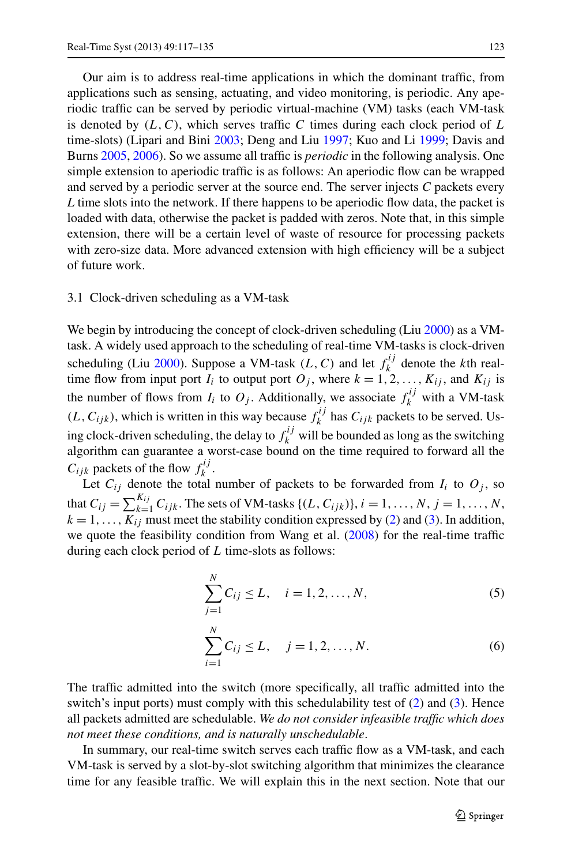Our aim is to address real-time applications in which the dominant traffic, from applications such as sensing, actuating, and video monitoring, is periodic. Any aperiodic traffic can be served by periodic virtual-machine (VM) tasks (each VM-task is denoted by  $(L, C)$ , which serves traffic C times during each clock period of  $L$ time-slots) (Lipari and Bini [2003;](#page-16-7) Deng and Liu [1997;](#page-16-8) Kuo and Li [1999;](#page-16-9) Davis and Burns [2005,](#page-15-1) [2006](#page-16-10)). So we assume all traffic is *periodic* in the following analysis. One simple extension to aperiodic traffic is as follows: An aperiodic flow can be wrapped and served by a periodic server at the source end. The server injects *C* packets every *L* time slots into the network. If there happens to be aperiodic flow data, the packet is loaded with data, otherwise the packet is padded with zeros. Note that, in this simple extension, there will be a certain level of waste of resource for processing packets with zero-size data. More advanced extension with high efficiency will be a subject of future work.

## 3.1 Clock-driven scheduling as a VM-task

We begin by introducing the concept of clock-driven scheduling (Liu [2000\)](#page-16-11) as a VMtask. A widely used approach to the scheduling of real-time VM-tasks is clock-driven scheduling (Liu [2000\)](#page-16-11). Suppose a VM-task  $(L, C)$  and let  $f_k^{ij}$  denote the *k*th realtime flow from input port  $I_i$  to output port  $O_j$ , where  $k = 1, 2, ..., K_{ij}$ , and  $K_{ij}$  is the number of flows from  $I_i$  to  $O_j$ . Additionally, we associate  $f_k^{ij}$  with a VM-task  $(L, C_{ijk})$ , which is written in this way because  $f_k^{ij}$  has  $C_{ijk}$  packets to be served. Using clock-driven scheduling, the delay to  $f_k^{ij}$  will be bounded as long as the switching algorithm can guarantee a worst-case bound on the time required to forward all the  $C_{ijk}$  packets of the flow  $f_k^{ij}$ .

Let  $C_{ij}$  denote the total number of packets to be forwarded from  $I_i$  to  $O_j$ , so that  $C_{ij} = \sum_{k=1}^{K_{ij}} C_{ijk}$ . The sets of VM-tasks  $\{(L, C_{ijk})\}, i = 1, ..., N, j = 1, ..., N$ ,  $k = 1, \ldots, \overline{K_{ij}}$  must meet the stability condition expressed by ([2\)](#page-4-0) and [\(3](#page-4-1)). In addition, we quote the feasibility condition from Wang et al. [\(2008](#page-17-5)) for the real-time traffic during each clock period of *L* time-slots as follows:

<span id="page-6-1"></span><span id="page-6-0"></span>
$$
\sum_{j=1}^{N} C_{ij} \le L, \quad i = 1, 2, ..., N,
$$
 (5)

$$
\sum_{i=1}^{N} C_{ij} \le L, \quad j = 1, 2, ..., N.
$$
 (6)

The traffic admitted into the switch (more specifically, all traffic admitted into the switch's input ports) must comply with this schedulability test of [\(2](#page-4-0)) and ([3\)](#page-4-1). Hence all packets admitted are schedulable. *We do not consider infeasible traffic which does not meet these conditions, and is naturally unschedulable*.

In summary, our real-time switch serves each traffic flow as a VM-task, and each VM-task is served by a slot-by-slot switching algorithm that minimizes the clearance time for any feasible traffic. We will explain this in the next section. Note that our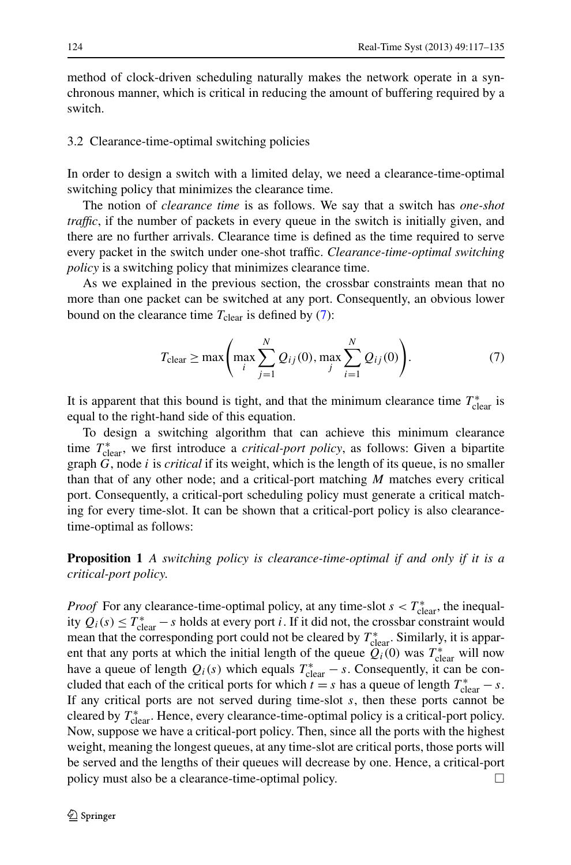<span id="page-7-0"></span>method of clock-driven scheduling naturally makes the network operate in a synchronous manner, which is critical in reducing the amount of buffering required by a switch.

## 3.2 Clearance-time-optimal switching policies

In order to design a switch with a limited delay, we need a clearance-time-optimal switching policy that minimizes the clearance time.

The notion of *clearance time* is as follows. We say that a switch has *one-shot traffic*, if the number of packets in every queue in the switch is initially given, and there are no further arrivals. Clearance time is defined as the time required to serve every packet in the switch under one-shot traffic. *Clearance-time-optimal switching policy* is a switching policy that minimizes clearance time.

As we explained in the previous section, the crossbar constraints mean that no more than one packet can be switched at any port. Consequently, an obvious lower bound on the clearance time  $T_{\text{clear}}$  is defined by ([7\)](#page-7-1):

<span id="page-7-1"></span>
$$
T_{\text{clear}} \ge \max\left(\max_{i} \sum_{j=1}^{N} Q_{ij}(0), \max_{j} \sum_{i=1}^{N} Q_{ij}(0)\right).
$$
 (7)

It is apparent that this bound is tight, and that the minimum clearance time  $T_{\text{clear}}^*$  is equal to the right-hand side of this equation.

<span id="page-7-2"></span>To design a switching algorithm that can achieve this minimum clearance time  $T_{\text{clear}}^*$ , we first introduce a *critical-port policy*, as follows: Given a bipartite graph *G*, node *i* is *critical* if its weight, which is the length of its queue, is no smaller than that of any other node; and a critical-port matching *M* matches every critical port. Consequently, a critical-port scheduling policy must generate a critical matching for every time-slot. It can be shown that a critical-port policy is also clearancetime-optimal as follows:

**Proposition 1** *A switching policy is clearance-time-optimal if and only if it is a critical-port policy*.

*Proof* For any clearance-time-optimal policy, at any time-slot  $s < T^*_{clear}$ , the inequality  $Q_i(s) \leq T_{\text{clear}}^* - s$  holds at every port *i*. If it did not, the crossbar constraint would mean that the corresponding port could not be cleared by  $T_{\text{clear}}^*$ . Similarly, it is apparent that any ports at which the initial length of the queue  $Q_i(0)$  was  $T_{\text{clear}}^*$  will now have a queue of length  $Q_i(s)$  which equals  $T_{\text{clear}}^* - s$ . Consequently, it can be concluded that each of the critical ports for which  $t = s$  has a queue of length  $T_{\text{clear}}^* - s$ . If any critical ports are not served during time-slot *s*, then these ports cannot be cleared by  $T_{\text{clear}}^*$ . Hence, every clearance-time-optimal policy is a critical-port policy. Now, suppose we have a critical-port policy. Then, since all the ports with the highest weight, meaning the longest queues, at any time-slot are critical ports, those ports will be served and the lengths of their queues will decrease by one. Hence, a critical-port policy must also be a clearance-time-optimal policy.  $\Box$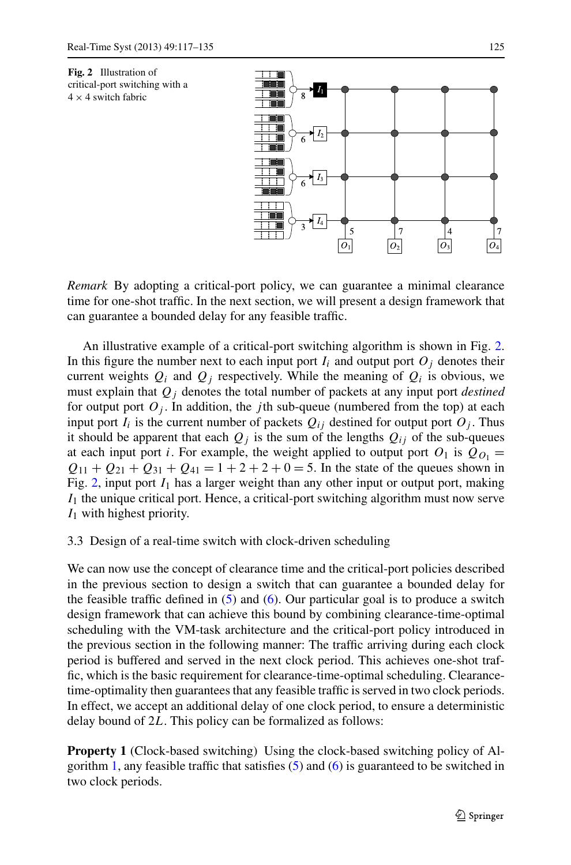<span id="page-8-0"></span>

*Remark* By adopting a critical-port policy, we can guarantee a minimal clearance time for one-shot traffic. In the next section, we will present a design framework that can guarantee a bounded delay for any feasible traffic.

An illustrative example of a critical-port switching algorithm is shown in Fig. [2](#page-8-0). In this figure the number next to each input port  $I_i$  and output port  $O_i$  denotes their current weights  $Q_i$  and  $Q_j$  respectively. While the meaning of  $Q_i$  is obvious, we must explain that *Qj* denotes the total number of packets at any input port *destined* for output port  $O_i$ . In addition, the *j*th sub-queue (numbered from the top) at each input port  $I_i$  is the current number of packets  $Q_{ij}$  destined for output port  $O_i$ . Thus it should be apparent that each  $Q_i$  is the sum of the lengths  $Q_{ij}$  of the sub-queues at each input port *i*. For example, the weight applied to output port  $O_1$  is  $Q_{O_1}$  =  $Q_{11} + Q_{21} + Q_{31} + Q_{41} = 1 + 2 + 2 + 0 = 5$ . In the state of the queues shown in Fig. [2](#page-8-0), input port  $I_1$  has a larger weight than any other input or output port, making *I*<sup>1</sup> the unique critical port. Hence, a critical-port switching algorithm must now serve *I*<sup>1</sup> with highest priority.

## 3.3 Design of a real-time switch with clock-driven scheduling

We can now use the concept of clearance time and the critical-port policies described in the previous section to design a switch that can guarantee a bounded delay for the feasible traffic defined in  $(5)$  $(5)$  and  $(6)$  $(6)$ . Our particular goal is to produce a switch design framework that can achieve this bound by combining clearance-time-optimal scheduling with the VM-task architecture and the critical-port policy introduced in the previous section in the following manner: The traffic arriving during each clock period is buffered and served in the next clock period. This achieves one-shot traffic, which is the basic requirement for clearance-time-optimal scheduling. Clearancetime-optimality then guarantees that any feasible traffic is served in two clock periods. In effect, we accept an additional delay of one clock period, to ensure a deterministic delay bound of 2*L*. This policy can be formalized as follows:

**Property 1** (Clock-based switching) Using the clock-based switching policy of Algorithm [1,](#page-9-0) any feasible traffic that satisfies [\(5](#page-6-0)) and ([6\)](#page-6-1) is guaranteed to be switched in two clock periods.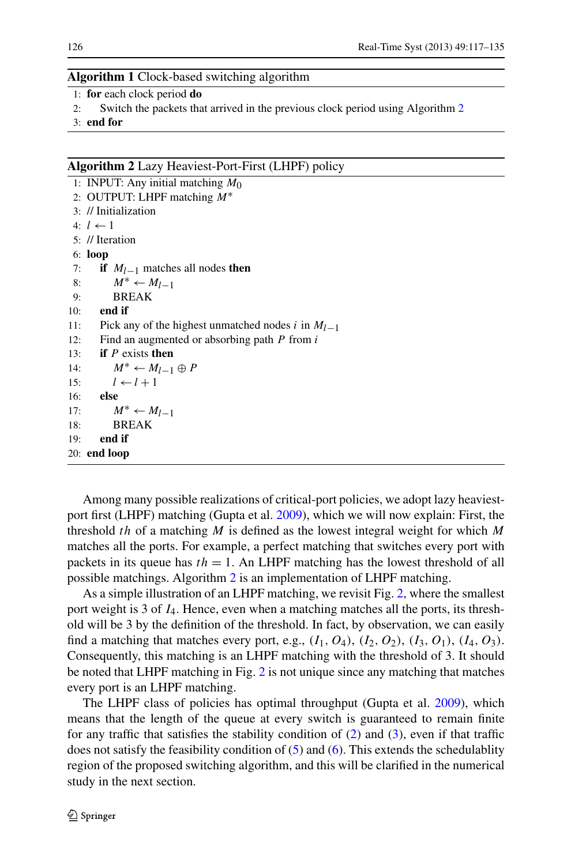#### <span id="page-9-1"></span><span id="page-9-0"></span>**Algorithm 1** Clock-based switching algorithm

- 1: **for** each clock period **do**
- 2: Switch the packets that arrived in the previous clock period using Algorithm [2](#page-9-1)

3: **end for**

## **Algorithm 2** Lazy Heaviest-Port-First (LHPF) policy

1: **INPUT:** Any initial matching  $M_0$ 2: OUTPUT: LHPF matching *M*<sup>∗</sup> 3: // Initialization  $4: l \leftarrow 1$ 5: // Iteration 6: **loop** 7: **if**  $M_{l-1}$  matches all nodes **then**<br>8:  $M^* \leftarrow M_{l-1}$  $M^* \leftarrow M_{l-1}$ 9: BREAK 10: **end if** 11: Pick any of the highest unmatched nodes *i* in *Ml*−1 12: Find an augmented or absorbing path *P* from *i* 13: **if** *P* exists **then** 14:  $M^*$  ←  $M_{l-1}$  ⊕  $P$ 15:  $l \leftarrow l + 1$ 16: **else** 17:  $M^* \leftarrow M_{l-1}$ <br>18: **BREAK BREAK** 19: **end if** 20: **end loop**

Among many possible realizations of critical-port policies, we adopt lazy heaviestport first (LHPF) matching (Gupta et al. [2009\)](#page-16-12), which we will now explain: First, the threshold *th* of a matching *M* is defined as the lowest integral weight for which *M* matches all the ports. For example, a perfect matching that switches every port with packets in its queue has  $th = 1$ . An LHPF matching has the lowest threshold of all possible matchings. Algorithm [2](#page-9-1) is an implementation of LHPF matching.

As a simple illustration of an LHPF matching, we revisit Fig. [2,](#page-8-0) where the smallest port weight is 3 of *I*4. Hence, even when a matching matches all the ports, its threshold will be 3 by the definition of the threshold. In fact, by observation, we can easily find a matching that matches every port, e.g.,  $(I_1, O_4)$ ,  $(I_2, O_2)$ ,  $(I_3, O_1)$ ,  $(I_4, O_3)$ . Consequently, this matching is an LHPF matching with the threshold of 3. It should be noted that LHPF matching in Fig. [2](#page-8-0) is not unique since any matching that matches every port is an LHPF matching.

The LHPF class of policies has optimal throughput (Gupta et al. [2009\)](#page-16-12), which means that the length of the queue at every switch is guaranteed to remain finite for any traffic that satisfies the stability condition of  $(2)$  $(2)$  and  $(3)$  $(3)$ , even if that traffic does not satisfy the feasibility condition of  $(5)$  $(5)$  and  $(6)$  $(6)$ . This extends the schedulablity region of the proposed switching algorithm, and this will be clarified in the numerical study in the next section.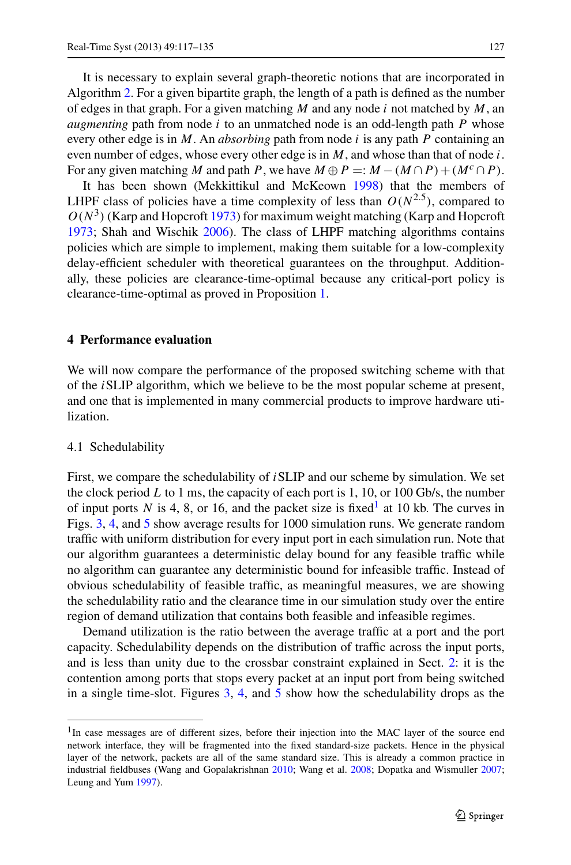It is necessary to explain several graph-theoretic notions that are incorporated in Algorithm [2.](#page-9-1) For a given bipartite graph, the length of a path is defined as the number of edges in that graph. For a given matching *M* and any node *i* not matched by *M*, an *augmenting* path from node *i* to an unmatched node is an odd-length path *P* whose every other edge is in *M*. An *absorbing* path from node *i* is any path *P* containing an even number of edges, whose every other edge is in *M*, and whose than that of node *i*. For any given matching *M* and path *P*, we have  $M \oplus P =: M - (M \cap P) + (M^c \cap P)$ .

<span id="page-10-0"></span>It has been shown (Mekkittikul and McKeown [1998\)](#page-16-13) that the members of LHPF class of policies have a time complexity of less than  $O(N^{2.5})$ , compared to  $O(N^3)$  (Karp and Hopcroft [1973\)](#page-16-14) for maximum weight matching (Karp and Hopcroft [1973;](#page-16-14) Shah and Wischik [2006](#page-17-6)). The class of LHPF matching algorithms contains policies which are simple to implement, making them suitable for a low-complexity delay-efficient scheduler with theoretical guarantees on the throughput. Additionally, these policies are clearance-time-optimal because any critical-port policy is clearance-time-optimal as proved in Proposition [1](#page-7-2).

#### **4 Performance evaluation**

We will now compare the performance of the proposed switching scheme with that of the *i*SLIP algorithm, which we believe to be the most popular scheme at present, and one that is implemented in many commercial products to improve hardware utilization.

#### 4.1 Schedulability

First, we compare the schedulability of *i*SLIP and our scheme by simulation. We set the clock period *L* to 1 ms, the capacity of each port is 1, 10, or 100 Gb/s, the number of input ports  $N$  is 4, 8, or [1](#page-10-1)6, and the packet size is fixed<sup>1</sup> at 10 kb. The curves in Figs. [3,](#page-11-0) [4,](#page-11-1) and [5](#page-12-0) show average results for 1000 simulation runs. We generate random traffic with uniform distribution for every input port in each simulation run. Note that our algorithm guarantees a deterministic delay bound for any feasible traffic while no algorithm can guarantee any deterministic bound for infeasible traffic. Instead of obvious schedulability of feasible traffic, as meaningful measures, we are showing the schedulability ratio and the clearance time in our simulation study over the entire region of demand utilization that contains both feasible and infeasible regimes.

<span id="page-10-1"></span>Demand utilization is the ratio between the average traffic at a port and the port capacity. Schedulability depends on the distribution of traffic across the input ports, and is less than unity due to the crossbar constraint explained in Sect. [2](#page-2-0): it is the contention among ports that stops every packet at an input port from being switched in a single time-slot. Figures [3](#page-11-0), [4](#page-11-1), and [5](#page-12-0) show how the schedulability drops as the

<sup>&</sup>lt;sup>1</sup>In case messages are of different sizes, before their injection into the MAC layer of the source end network interface, they will be fragmented into the fixed standard-size packets. Hence in the physical layer of the network, packets are all of the same standard size. This is already a common practice in industrial fieldbuses (Wang and Gopalakrishnan [2010;](#page-17-4) Wang et al. [2008;](#page-17-5) Dopatka and Wismuller [2007](#page-16-15); Leung and Yum [1997\)](#page-16-16).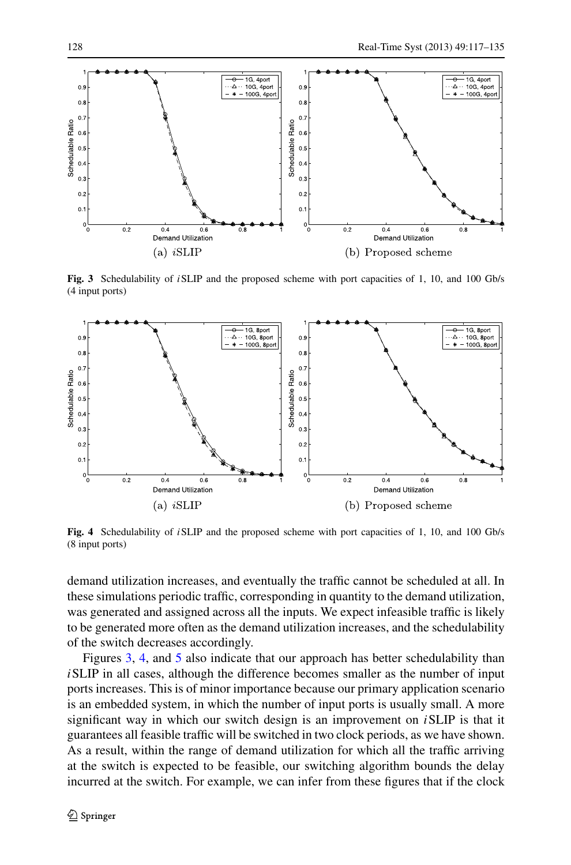<span id="page-11-0"></span>

**Fig. 3** Schedulability of *i*SLIP and the proposed scheme with port capacities of 1, 10, and 100 Gb/s (4 input ports)

<span id="page-11-1"></span>

**Fig. 4** Schedulability of *i*SLIP and the proposed scheme with port capacities of 1, 10, and 100 Gb/s (8 input ports)

demand utilization increases, and eventually the traffic cannot be scheduled at all. In these simulations periodic traffic, corresponding in quantity to the demand utilization, was generated and assigned across all the inputs. We expect infeasible traffic is likely to be generated more often as the demand utilization increases, and the schedulability of the switch decreases accordingly.

Figures [3,](#page-11-0) [4](#page-11-1), and [5](#page-12-0) also indicate that our approach has better schedulability than *i*SLIP in all cases, although the difference becomes smaller as the number of input ports increases. This is of minor importance because our primary application scenario is an embedded system, in which the number of input ports is usually small. A more significant way in which our switch design is an improvement on *i*SLIP is that it guarantees all feasible traffic will be switched in two clock periods, as we have shown. As a result, within the range of demand utilization for which all the traffic arriving at the switch is expected to be feasible, our switching algorithm bounds the delay incurred at the switch. For example, we can infer from these figures that if the clock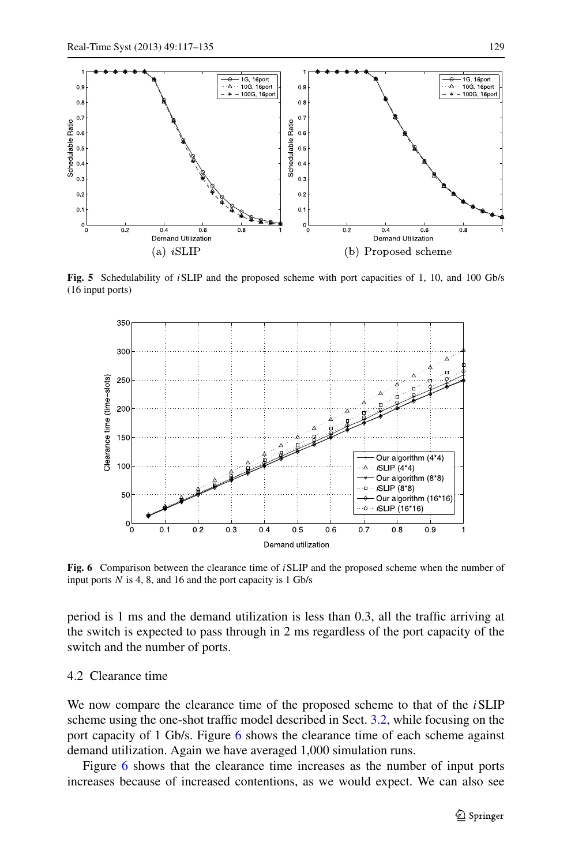<span id="page-12-0"></span>

**Fig. 5** Schedulability of *i*SLIP and the proposed scheme with port capacities of 1, 10, and 100 Gb/s (16 input ports)



<span id="page-12-1"></span>**Fig. 6** Comparison between the clearance time of *i*SLIP and the proposed scheme when the number of input ports *N* is 4, 8, and 16 and the port capacity is 1 Gb/s

period is 1 ms and the demand utilization is less than 0.3, all the traffic arriving at the switch is expected to pass through in 2 ms regardless of the port capacity of the switch and the number of ports.

## 4.2 Clearance time

We now compare the clearance time of the proposed scheme to that of the *i*SLIP scheme using the one-shot traffic model described in Sect. [3.2,](#page-7-0) while focusing on the port capacity of 1 Gb/s. Figure [6](#page-12-1) shows the clearance time of each scheme against demand utilization. Again we have averaged 1,000 simulation runs.

Figure [6](#page-12-1) shows that the clearance time increases as the number of input ports increases because of increased contentions, as we would expect. We can also see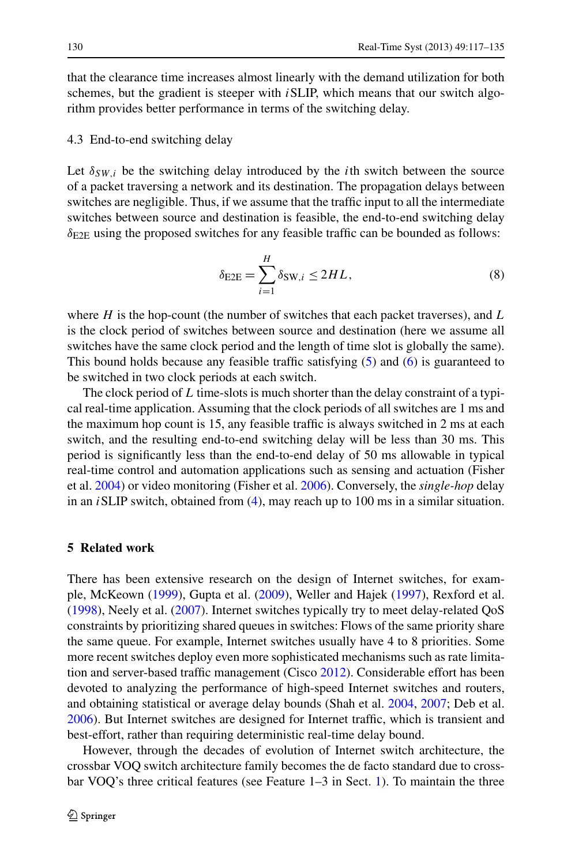that the clearance time increases almost linearly with the demand utilization for both schemes, but the gradient is steeper with *i*SLIP, which means that our switch algorithm provides better performance in terms of the switching delay.

#### 4.3 End-to-end switching delay

Let  $\delta_{SW,i}$  be the switching delay introduced by the *i*th switch between the source of a packet traversing a network and its destination. The propagation delays between switches are negligible. Thus, if we assume that the traffic input to all the intermediate switches between source and destination is feasible, the end-to-end switching delay  $\delta$ <sub>E2E</sub> using the proposed switches for any feasible traffic can be bounded as follows:

$$
\delta_{\text{E2E}} = \sum_{i=1}^{H} \delta_{\text{SW},i} \le 2HL,\tag{8}
$$

where *H* is the hop-count (the number of switches that each packet traverses), and *L* is the clock period of switches between source and destination (here we assume all switches have the same clock period and the length of time slot is globally the same). This bound holds because any feasible traffic satisfying ([5\)](#page-6-0) and [\(6](#page-6-1)) is guaranteed to be switched in two clock periods at each switch.

<span id="page-13-0"></span>The clock period of *L* time-slots is much shorter than the delay constraint of a typical real-time application. Assuming that the clock periods of all switches are 1 ms and the maximum hop count is 15, any feasible traffic is always switched in 2 ms at each switch, and the resulting end-to-end switching delay will be less than 30 ms. This period is significantly less than the end-to-end delay of 50 ms allowable in typical real-time control and automation applications such as sensing and actuation (Fisher et al. [2004](#page-16-17)) or video monitoring (Fisher et al. [2006](#page-16-18)). Conversely, the *single-hop* delay in an *i*SLIP switch, obtained from ([4\)](#page-5-1), may reach up to 100 ms in a similar situation.

#### **5 Related work**

There has been extensive research on the design of Internet switches, for example, McKeown [\(1999](#page-16-3)), Gupta et al. [\(2009](#page-16-12)), Weller and Hajek ([1997\)](#page-17-7), Rexford et al. [\(1998](#page-16-19)), Neely et al. ([2007\)](#page-16-20). Internet switches typically try to meet delay-related QoS constraints by prioritizing shared queues in switches: Flows of the same priority share the same queue. For example, Internet switches usually have 4 to 8 priorities. Some more recent switches deploy even more sophisticated mechanisms such as rate limitation and server-based traffic management (Cisco [2012\)](#page-15-2). Considerable effort has been devoted to analyzing the performance of high-speed Internet switches and routers, and obtaining statistical or average delay bounds (Shah et al. [2004,](#page-17-8) [2007;](#page-17-9) Deb et al. [2006\)](#page-16-21). But Internet switches are designed for Internet traffic, which is transient and best-effort, rather than requiring deterministic real-time delay bound.

However, through the decades of evolution of Internet switch architecture, the crossbar VOQ switch architecture family becomes the de facto standard due to crossbar VOQ's three critical features (see Feature 1–3 in Sect. [1\)](#page-1-0). To maintain the three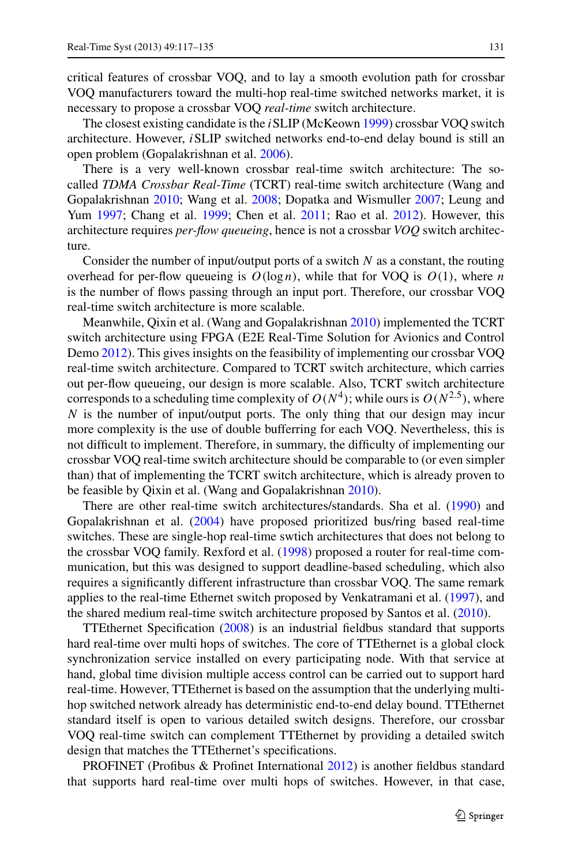critical features of crossbar VOQ, and to lay a smooth evolution path for crossbar VOQ manufacturers toward the multi-hop real-time switched networks market, it is necessary to propose a crossbar VOQ *real-time* switch architecture.

The closest existing candidate is the *i*SLIP (McKeown [1999](#page-16-3)) crossbar VOQ switch architecture. However, *i*SLIP switched networks end-to-end delay bound is still an open problem (Gopalakrishnan et al. [2006](#page-16-5)).

There is a very well-known crossbar real-time switch architecture: The socalled *TDMA Crossbar Real-Time* (TCRT) real-time switch architecture (Wang and Gopalakrishnan [2010](#page-17-4); Wang et al. [2008;](#page-17-5) Dopatka and Wismuller [2007](#page-16-15); Leung and Yum [1997](#page-16-16); Chang et al. [1999](#page-15-3); Chen et al. [2011;](#page-15-4) Rao et al. [2012\)](#page-16-22). However, this architecture requires *per-flow queueing*, hence is not a crossbar *VOQ* switch architecture.

Consider the number of input/output ports of a switch *N* as a constant, the routing overhead for per-flow queueing is  $O(\log n)$ , while that for VOQ is  $O(1)$ , where *n* is the number of flows passing through an input port. Therefore, our crossbar VOQ real-time switch architecture is more scalable.

Meanwhile, Qixin et al. (Wang and Gopalakrishnan [2010\)](#page-17-4) implemented the TCRT switch architecture using FPGA (E2E Real-Time Solution for Avionics and Control Demo [2012](#page-16-23)). This gives insights on the feasibility of implementing our crossbar VOQ real-time switch architecture. Compared to TCRT switch architecture, which carries out per-flow queueing, our design is more scalable. Also, TCRT switch architecture corresponds to a scheduling time complexity of  $O(N^4)$ ; while ours is  $O(N^{2.5})$ , where *N* is the number of input/output ports. The only thing that our design may incur more complexity is the use of double bufferring for each VOQ. Nevertheless, this is not difficult to implement. Therefore, in summary, the difficulty of implementing our crossbar VOQ real-time switch architecture should be comparable to (or even simpler than) that of implementing the TCRT switch architecture, which is already proven to be feasible by Qixin et al. (Wang and Gopalakrishnan [2010\)](#page-17-4).

There are other real-time switch architectures/standards. Sha et al. ([1990\)](#page-17-10) and Gopalakrishnan et al. [\(2004](#page-16-24)) have proposed prioritized bus/ring based real-time switches. These are single-hop real-time swtich architectures that does not belong to the crossbar VOQ family. Rexford et al. ([1998\)](#page-16-19) proposed a router for real-time communication, but this was designed to support deadline-based scheduling, which also requires a significantly different infrastructure than crossbar VOQ. The same remark applies to the real-time Ethernet switch proposed by Venkatramani et al. ([1997\)](#page-17-11), and the shared medium real-time switch architecture proposed by Santos et al. [\(2010](#page-17-12)).

TTEthernet Specification [\(2008](#page-17-3)) is an industrial fieldbus standard that supports hard real-time over multi hops of switches. The core of TTEthernet is a global clock synchronization service installed on every participating node. With that service at hand, global time division multiple access control can be carried out to support hard real-time. However, TTEthernet is based on the assumption that the underlying multihop switched network already has deterministic end-to-end delay bound. TTEthernet standard itself is open to various detailed switch designs. Therefore, our crossbar VOQ real-time switch can complement TTEthernet by providing a detailed switch design that matches the TTEthernet's specifications.

PROFINET (Profibus & Profinet International [2012\)](#page-16-1) is another fieldbus standard that supports hard real-time over multi hops of switches. However, in that case,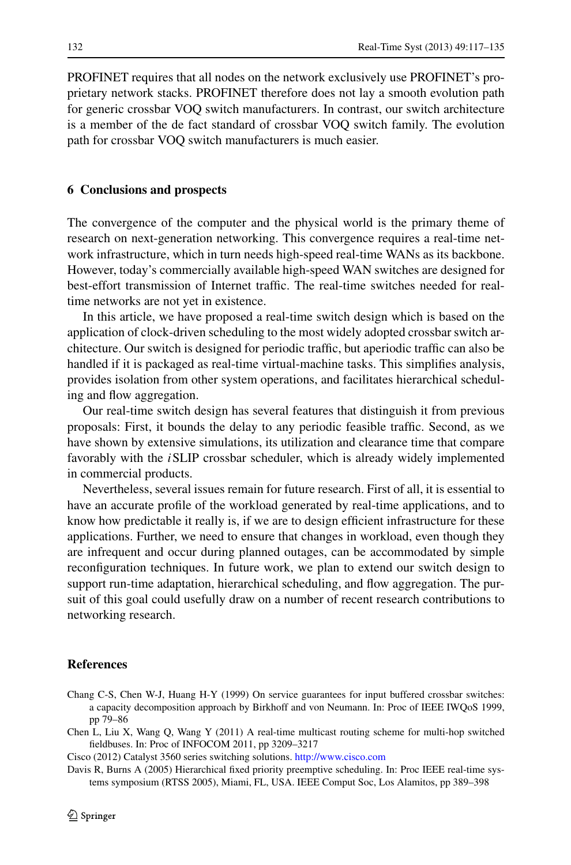<span id="page-15-0"></span>PROFINET requires that all nodes on the network exclusively use PROFINET's proprietary network stacks. PROFINET therefore does not lay a smooth evolution path for generic crossbar VOQ switch manufacturers. In contrast, our switch architecture is a member of the de fact standard of crossbar VOQ switch family. The evolution path for crossbar VOQ switch manufacturers is much easier.

## **6 Conclusions and prospects**

The convergence of the computer and the physical world is the primary theme of research on next-generation networking. This convergence requires a real-time network infrastructure, which in turn needs high-speed real-time WANs as its backbone. However, today's commercially available high-speed WAN switches are designed for best-effort transmission of Internet traffic. The real-time switches needed for realtime networks are not yet in existence.

In this article, we have proposed a real-time switch design which is based on the application of clock-driven scheduling to the most widely adopted crossbar switch architecture. Our switch is designed for periodic traffic, but aperiodic traffic can also be handled if it is packaged as real-time virtual-machine tasks. This simplifies analysis, provides isolation from other system operations, and facilitates hierarchical scheduling and flow aggregation.

Our real-time switch design has several features that distinguish it from previous proposals: First, it bounds the delay to any periodic feasible traffic. Second, as we have shown by extensive simulations, its utilization and clearance time that compare favorably with the *i*SLIP crossbar scheduler, which is already widely implemented in commercial products.

<span id="page-15-3"></span>Nevertheless, several issues remain for future research. First of all, it is essential to have an accurate profile of the workload generated by real-time applications, and to know how predictable it really is, if we are to design efficient infrastructure for these applications. Further, we need to ensure that changes in workload, even though they are infrequent and occur during planned outages, can be accommodated by simple reconfiguration techniques. In future work, we plan to extend our switch design to support run-time adaptation, hierarchical scheduling, and flow aggregation. The pursuit of this goal could usefully draw on a number of recent research contributions to networking research.

## <span id="page-15-4"></span><span id="page-15-2"></span><span id="page-15-1"></span>**References**

- Chang C-S, Chen W-J, Huang H-Y (1999) On service guarantees for input buffered crossbar switches: a capacity decomposition approach by Birkhoff and von Neumann. In: Proc of IEEE IWQoS 1999, pp 79–86
- Chen L, Liu X, Wang Q, Wang Y (2011) A real-time multicast routing scheme for multi-hop switched fieldbuses. In: Proc of INFOCOM 2011, pp 3209–3217
- Cisco (2012) Catalyst 3560 series switching solutions. <http://www.cisco.com>
- Davis R, Burns A (2005) Hierarchical fixed priority preemptive scheduling. In: Proc IEEE real-time systems symposium (RTSS 2005), Miami, FL, USA. IEEE Comput Soc, Los Alamitos, pp 389–398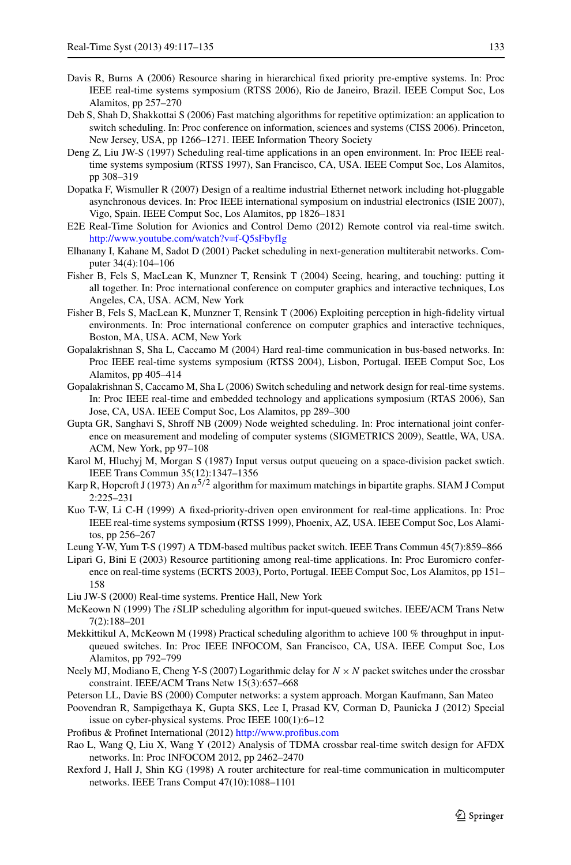- <span id="page-16-21"></span><span id="page-16-15"></span><span id="page-16-10"></span><span id="page-16-8"></span>Davis R, Burns A (2006) Resource sharing in hierarchical fixed priority pre-emptive systems. In: Proc IEEE real-time systems symposium (RTSS 2006), Rio de Janeiro, Brazil. IEEE Comput Soc, Los Alamitos, pp 257–270
- <span id="page-16-23"></span><span id="page-16-2"></span>Deb S, Shah D, Shakkottai S (2006) Fast matching algorithms for repetitive optimization: an application to switch scheduling. In: Proc conference on information, sciences and systems (CISS 2006). Princeton, New Jersey, USA, pp 1266–1271. IEEE Information Theory Society
- <span id="page-16-17"></span>Deng Z, Liu JW-S (1997) Scheduling real-time applications in an open environment. In: Proc IEEE realtime systems symposium (RTSS 1997), San Francisco, CA, USA. IEEE Comput Soc, Los Alamitos, pp 308–319
- <span id="page-16-18"></span>Dopatka F, Wismuller R (2007) Design of a realtime industrial Ethernet network including hot-pluggable asynchronous devices. In: Proc IEEE international symposium on industrial electronics (ISIE 2007), Vigo, Spain. IEEE Comput Soc, Los Alamitos, pp 1826–1831
- <span id="page-16-24"></span>E2E Real-Time Solution for Avionics and Control Demo (2012) Remote control via real-time switch. <http://www.youtube.com/watch?v=f-Q5sFbyfIg>
- Elhanany I, Kahane M, Sadot D (2001) Packet scheduling in next-generation multiterabit networks. Computer 34(4):104–106
- <span id="page-16-5"></span>Fisher B, Fels S, MacLean K, Munzner T, Rensink T (2004) Seeing, hearing, and touching: putting it all together. In: Proc international conference on computer graphics and interactive techniques, Los Angeles, CA, USA. ACM, New York
- <span id="page-16-12"></span>Fisher B, Fels S, MacLean K, Munzner T, Rensink T (2006) Exploiting perception in high-fidelity virtual environments. In: Proc international conference on computer graphics and interactive techniques, Boston, MA, USA. ACM, New York
- <span id="page-16-14"></span><span id="page-16-6"></span>Gopalakrishnan S, Sha L, Caccamo M (2004) Hard real-time communication in bus-based networks. In: Proc IEEE real-time systems symposium (RTSS 2004), Lisbon, Portugal. IEEE Comput Soc, Los Alamitos, pp 405–414
- <span id="page-16-9"></span>Gopalakrishnan S, Caccamo M, Sha L (2006) Switch scheduling and network design for real-time systems. In: Proc IEEE real-time and embedded technology and applications symposium (RTAS 2006), San Jose, CA, USA. IEEE Comput Soc, Los Alamitos, pp 289–300
- <span id="page-16-16"></span><span id="page-16-7"></span>Gupta GR, Sanghavi S, Shroff NB (2009) Node weighted scheduling. In: Proc international joint conference on measurement and modeling of computer systems (SIGMETRICS 2009), Seattle, WA, USA. ACM, New York, pp 97–108
- Karol M, Hluchyj M, Morgan S (1987) Input versus output queueing on a space-division packet swtich. IEEE Trans Commun 35(12):1347–1356
- <span id="page-16-11"></span><span id="page-16-3"></span>Karp R, Hopcroft J (1973) An *n*5*/*<sup>2</sup> algorithm for maximum matchings in bipartite graphs. SIAM J Comput 2:225–231
- <span id="page-16-13"></span>Kuo T-W, Li C-H (1999) A fixed-priority-driven open environment for real-time applications. In: Proc IEEE real-time systems symposium (RTSS 1999), Phoenix, AZ, USA. IEEE Comput Soc, Los Alamitos, pp 256–267
- <span id="page-16-20"></span>Leung Y-W, Yum T-S (1997) A TDM-based multibus packet switch. IEEE Trans Commun 45(7):859–866
- <span id="page-16-4"></span>Lipari G, Bini E (2003) Resource partitioning among real-time applications. In: Proc Euromicro conference on real-time systems (ECRTS 2003), Porto, Portugal. IEEE Comput Soc, Los Alamitos, pp 151– 158
- <span id="page-16-0"></span>Liu JW-S (2000) Real-time systems. Prentice Hall, New York
- <span id="page-16-1"></span>McKeown N (1999) The *i*SLIP scheduling algorithm for input-queued switches. IEEE/ACM Trans Netw 7(2):188–201
- <span id="page-16-22"></span><span id="page-16-19"></span>Mekkittikul A, McKeown M (1998) Practical scheduling algorithm to achieve 100 % throughput in inputqueued switches. In: Proc IEEE INFOCOM, San Francisco, CA, USA. IEEE Comput Soc, Los Alamitos, pp 792–799
- Neely MJ, Modiano E, Cheng Y-S (2007) Logarithmic delay for *N* ×*N* packet switches under the crossbar constraint. IEEE/ACM Trans Netw 15(3):657–668
- Peterson LL, Davie BS (2000) Computer networks: a system approach. Morgan Kaufmann, San Mateo
- Poovendran R, Sampigethaya K, Gupta SKS, Lee I, Prasad KV, Corman D, Paunicka J (2012) Special issue on cyber-physical systems. Proc IEEE 100(1):6–12
- Profibus & Profinet International (2012) <http://www.profibus.com>
- Rao L, Wang Q, Liu X, Wang Y (2012) Analysis of TDMA crossbar real-time switch design for AFDX networks. In: Proc INFOCOM 2012, pp 2462–2470
- Rexford J, Hall J, Shin KG (1998) A router architecture for real-time communication in multicomputer networks. IEEE Trans Comput 47(10):1088–1101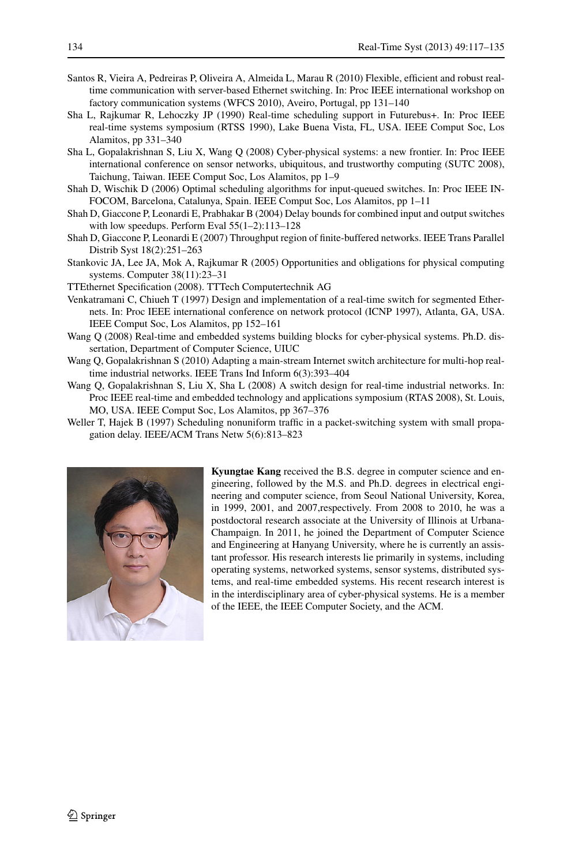- <span id="page-17-12"></span><span id="page-17-10"></span><span id="page-17-8"></span><span id="page-17-6"></span><span id="page-17-1"></span>Santos R, Vieira A, Pedreiras P, Oliveira A, Almeida L, Marau R (2010) Flexible, efficient and robust realtime communication with server-based Ethernet switching. In: Proc IEEE international workshop on factory communication systems (WFCS 2010), Aveiro, Portugal, pp 131–140
- <span id="page-17-9"></span>Sha L, Rajkumar R, Lehoczky JP (1990) Real-time scheduling support in Futurebus+. In: Proc IEEE real-time systems symposium (RTSS 1990), Lake Buena Vista, FL, USA. IEEE Comput Soc, Los Alamitos, pp 331–340
- <span id="page-17-3"></span><span id="page-17-0"></span>Sha L, Gopalakrishnan S, Liu X, Wang Q (2008) Cyber-physical systems: a new frontier. In: Proc IEEE international conference on sensor networks, ubiquitous, and trustworthy computing (SUTC 2008), Taichung, Taiwan. IEEE Comput Soc, Los Alamitos, pp 1–9
- <span id="page-17-11"></span>Shah D, Wischik D (2006) Optimal scheduling algorithms for input-queued switches. In: Proc IEEE IN-FOCOM, Barcelona, Catalunya, Spain. IEEE Comput Soc, Los Alamitos, pp 1–11
- <span id="page-17-2"></span>Shah D, Giaccone P, Leonardi E, Prabhakar B (2004) Delay bounds for combined input and output switches with low speedups. Perform Eval 55(1–2):113–128
- <span id="page-17-4"></span>Shah D, Giaccone P, Leonardi E (2007) Throughput region of finite-buffered networks. IEEE Trans Parallel Distrib Syst 18(2):251–263
- <span id="page-17-5"></span>Stankovic JA, Lee JA, Mok A, Rajkumar R (2005) Opportunities and obligations for physical computing systems. Computer 38(11):23–31

TTEthernet Specification (2008). TTTech Computertechnik AG

- <span id="page-17-7"></span>Venkatramani C, Chiueh T (1997) Design and implementation of a real-time switch for segmented Ethernets. In: Proc IEEE international conference on network protocol (ICNP 1997), Atlanta, GA, USA. IEEE Comput Soc, Los Alamitos, pp 152–161
- Wang Q (2008) Real-time and embedded systems building blocks for cyber-physical systems. Ph.D. dissertation, Department of Computer Science, UIUC
- Wang Q, Gopalakrishnan S (2010) Adapting a main-stream Internet switch architecture for multi-hop realtime industrial networks. IEEE Trans Ind Inform 6(3):393–404
- Wang Q, Gopalakrishnan S, Liu X, Sha L (2008) A switch design for real-time industrial networks. In: Proc IEEE real-time and embedded technology and applications symposium (RTAS 2008), St. Louis, MO, USA. IEEE Comput Soc, Los Alamitos, pp 367–376
- Weller T, Hajek B (1997) Scheduling nonuniform traffic in a packet-switching system with small propagation delay. IEEE/ACM Trans Netw 5(6):813–823



**Kyungtae Kang** received the B.S. degree in computer science and engineering, followed by the M.S. and Ph.D. degrees in electrical engineering and computer science, from Seoul National University, Korea, in 1999, 2001, and 2007,respectively. From 2008 to 2010, he was a postdoctoral research associate at the University of Illinois at Urbana-Champaign. In 2011, he joined the Department of Computer Science and Engineering at Hanyang University, where he is currently an assistant professor. His research interests lie primarily in systems, including operating systems, networked systems, sensor systems, distributed systems, and real-time embedded systems. His recent research interest is in the interdisciplinary area of cyber-physical systems. He is a member of the IEEE, the IEEE Computer Society, and the ACM.